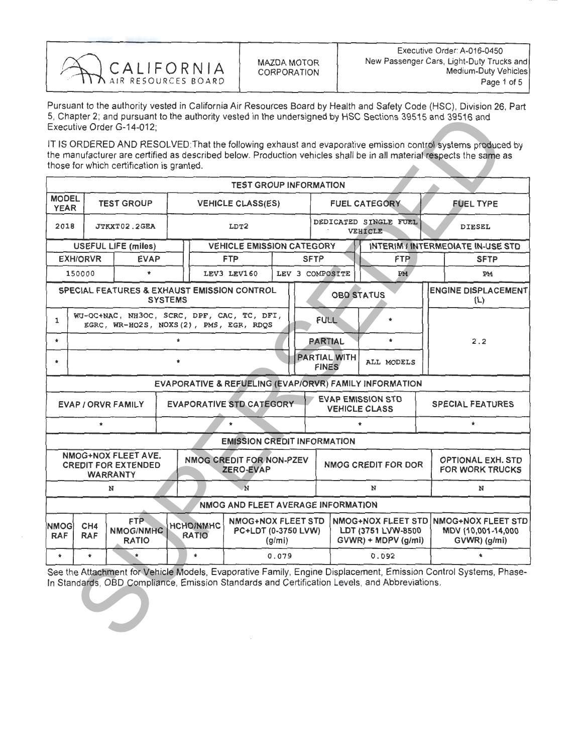

Pursuant to the authority vested in California Air Resources Board by Health and Safety Code (HSC), Division 26, Part 5, Chapter 2; and pursuant to the authority vested in the undersigned by HSC Sections 39515 and 39516 and Executive Order G-14-012;

|                                                                                                               |                                                                                                                                                                                    | Executive Order G-14-012;                   |                |              |                                    |       |                                           |                                     | 5, Chapter 2; and pursuant to the authority vested in the undersigned by HSC Sections 39515 and 39516 and |                                                                             |                                                                                                                                                                                                                                     |  |  |
|---------------------------------------------------------------------------------------------------------------|------------------------------------------------------------------------------------------------------------------------------------------------------------------------------------|---------------------------------------------|----------------|--------------|------------------------------------|-------|-------------------------------------------|-------------------------------------|-----------------------------------------------------------------------------------------------------------|-----------------------------------------------------------------------------|-------------------------------------------------------------------------------------------------------------------------------------------------------------------------------------------------------------------------------------|--|--|
|                                                                                                               |                                                                                                                                                                                    | those for which certification is granted.   |                |              |                                    |       |                                           |                                     |                                                                                                           |                                                                             | IT IS ORDERED AND RESOLVED: That the following exhaust and evaporative emission control systems produced by<br>the manufacturer are certified as described below. Production vehicles shall be in all material respects the same as |  |  |
|                                                                                                               |                                                                                                                                                                                    |                                             |                |              | <b>TEST GROUP INFORMATION</b>      |       |                                           |                                     |                                                                                                           |                                                                             |                                                                                                                                                                                                                                     |  |  |
| <b>MODEL</b><br><b>YEAR</b>                                                                                   |                                                                                                                                                                                    | <b>TEST GROUP</b>                           |                |              | <b>VEHICLE CLASS(ES)</b>           |       |                                           |                                     | <b>FUEL CATEGORY</b>                                                                                      |                                                                             | <b>FUEL TYPE</b>                                                                                                                                                                                                                    |  |  |
| 2018                                                                                                          |                                                                                                                                                                                    | JTKXT02.2GEA                                |                |              | LDT2                               |       |                                           |                                     | DEDICATED SINGLE FUEL<br>VEHICLE                                                                          |                                                                             | DIESEL                                                                                                                                                                                                                              |  |  |
|                                                                                                               |                                                                                                                                                                                    | <b>USEFUL LIFE (miles)</b>                  |                |              | <b>VEHICLE EMISSION CATEGORY</b>   |       |                                           |                                     |                                                                                                           |                                                                             | <b>INTERIM / INTERMEDIATE IN-USE STD</b>                                                                                                                                                                                            |  |  |
|                                                                                                               | <b>EXH/ORVR</b>                                                                                                                                                                    | <b>EVAP</b>                                 |                |              | <b>FTP</b>                         |       |                                           | <b>FTP</b><br><b>SFTP</b>           |                                                                                                           |                                                                             | <b>SFTP</b>                                                                                                                                                                                                                         |  |  |
|                                                                                                               | 150000                                                                                                                                                                             | $\star$                                     |                |              | LEV3 LEV160                        |       |                                           | LEV 3 COMPOSITE                     | <b>PM</b>                                                                                                 |                                                                             | PM                                                                                                                                                                                                                                  |  |  |
|                                                                                                               |                                                                                                                                                                                    | SPECIAL FEATURES & EXHAUST EMISSION CONTROL | <b>SYSTEMS</b> |              |                                    |       |                                           | <b>OBD STATUS</b>                   |                                                                                                           |                                                                             | <b>ENGINE DISPLACEMENT</b><br>(L)                                                                                                                                                                                                   |  |  |
| WU-OC+NAC, NH3OC, SCRC, DPF, CAC, TC, DFI,<br>$\mathbf{1}$<br>EGRC, WR-HO2S, NOXS(2), PMS, EGR, RDQS          |                                                                                                                                                                                    |                                             |                |              |                                    |       |                                           | <b>FULL</b>                         |                                                                                                           |                                                                             |                                                                                                                                                                                                                                     |  |  |
| $\star$                                                                                                       | $\star$                                                                                                                                                                            |                                             |                |              |                                    |       |                                           | <b>PARTIAL</b>                      | $\star$                                                                                                   |                                                                             | 2.2                                                                                                                                                                                                                                 |  |  |
| $\bullet$                                                                                                     |                                                                                                                                                                                    |                                             |                |              |                                    |       |                                           | <b>PARTIAL WITH</b><br><b>FINES</b> | ALL MODELS                                                                                                |                                                                             |                                                                                                                                                                                                                                     |  |  |
|                                                                                                               |                                                                                                                                                                                    |                                             |                |              |                                    |       |                                           |                                     | EVAPORATIVE & REFUELING (EVAP/ORVR) FAMILY INFORMATION                                                    |                                                                             |                                                                                                                                                                                                                                     |  |  |
|                                                                                                               | <b>EVAPORATIVE STD CATEGORY</b><br>EVAP / ORVR FAMILY                                                                                                                              |                                             |                |              |                                    |       |                                           |                                     | <b>EVAP EMISSION STD</b><br><b>VEHICLE CLASS</b>                                                          |                                                                             | <b>SPECIAL FEATURES</b>                                                                                                                                                                                                             |  |  |
| $\star$<br>$\star$<br>$\pmb{\ast}$<br>$\star$                                                                 |                                                                                                                                                                                    |                                             |                |              |                                    |       |                                           |                                     |                                                                                                           |                                                                             |                                                                                                                                                                                                                                     |  |  |
|                                                                                                               |                                                                                                                                                                                    |                                             |                |              | <b>EMISSION CREDIT INFORMATION</b> |       |                                           |                                     |                                                                                                           |                                                                             |                                                                                                                                                                                                                                     |  |  |
| NMOG+NOX FLEET AVE.<br>NMOG CREDIT FOR NON-PZEV<br><b>CREDIT FOR EXTENDED</b><br>ZERO-EVAP<br><b>WARRANTY</b> |                                                                                                                                                                                    |                                             |                |              |                                    |       | <b>NMOG CREDIT FOR DOR</b>                |                                     | <b>OPTIONAL EXH. STD</b><br><b>FOR WORK TRUCKS</b>                                                        |                                                                             |                                                                                                                                                                                                                                     |  |  |
|                                                                                                               | N<br>N                                                                                                                                                                             |                                             |                |              |                                    |       |                                           | N                                   |                                                                                                           |                                                                             | N                                                                                                                                                                                                                                   |  |  |
|                                                                                                               |                                                                                                                                                                                    |                                             |                |              | NMOG AND FLEET AVERAGE INFORMATION |       |                                           |                                     |                                                                                                           |                                                                             |                                                                                                                                                                                                                                     |  |  |
| <b>NMOG</b><br><b>RAF</b>                                                                                     | FTP-<br><b>NMOG+NOX FLEET STD</b><br>CH <sub>4</sub><br><b>HCHO/NMHC</b><br><b>NMOG/NMHC</b><br><b>PC+LDT (0-3750 LVW)</b><br><b>RATIO</b><br><b>RAF</b><br><b>RATIO</b><br>(g/mi) |                                             |                |              |                                    |       | LDT (3751 LVW-8500<br>GVWR) + MDPV (g/mi) |                                     |                                                                                                           | NMOG+NOX FLEET STD NMOG+NOX FLEET STD<br>MDV (10,001-14,000<br>GVWR) (g/mi) |                                                                                                                                                                                                                                     |  |  |
| $\pmb{\ast}$                                                                                                  | $\star$                                                                                                                                                                            |                                             |                | $\pmb{\ast}$ |                                    | 0.079 |                                           | 0.092                               |                                                                                                           |                                                                             | $\pmb{\ast}$                                                                                                                                                                                                                        |  |  |
|                                                                                                               |                                                                                                                                                                                    |                                             |                |              |                                    |       |                                           |                                     | In Standards, OBD Compliance, Emission Standards and Certification Levels, and Abbreviations.             |                                                                             | See the Attachment for Vehicle Models, Evaporative Family, Engine Displacement, Emission Control Systems, Phase-                                                                                                                    |  |  |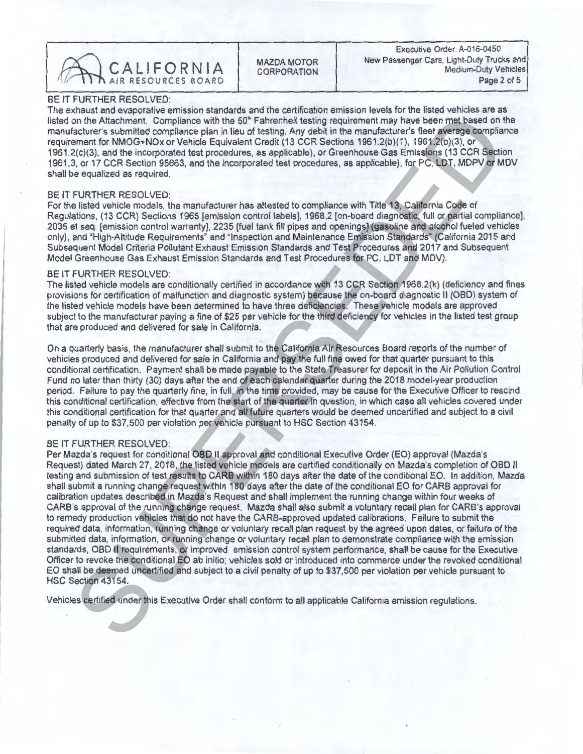

CORPORATION

BE IT FURTHER RESOLVED:<br>The exhaust and evaporative emission standards and the certification emission levels for the listed vehicles are as The exhaust and evaporative emission standards and the certification emission levels for the listed vehicles are as listed on the Attachment. Compliance with the 50 Fahrenheit testing requirement may have been met based on the manufacturer's submitted compliance plan in lieu of testing. Any debit in the manufacturer's fleet average compliance<br>requirement for NMOG+NOx or Vehicle Equivalent Credit (13 CCR Sections 1961.2(b)(1), 1961.2(b)(3), or 1961.2(c)(3), and the incorporated test procedures, as applicable), or Greenhouse Gas Emissions (13 CCR Section 1961. $2(v)(3)$ , and the incorporated test procedures, as applicable), or Greenhouse Gas Emissions (13 CCR Section 1961.3, or 17 CCR Section 95663, and the incorporated test procedures, as applicable), for PC, LDT, MDPV or MDV shall be equalized as required.

## BE IT FURTHER RESOLVED:

For the listed vehicle models, the manufacturer has attested to compliance with Title 13, California Code of<br>Regulations, (13 CCR) Sections 1965 [emission control labels], 1968.2 [on-board diagnostic, full or partial compl 2035 et seq. [emission control warranty], 2235 [fuel tank fill pipes and openings] (gasoline and alcohol fueled vehicles 2035 et seq. [emission control warranty], 2235 [fuel tank fill pipes and openings] (gasoline and alcohol fueled vehicles only), and "High-Altitude Requirements" and "Inspection and Maintenance Emission Standards" (California 2015 and Subsequent Model Criteria Pollutant Exhaust Emission Standards and Test Procedures and 2017 and Subsequent Model Greenhouse Gas Exhaust Emission Standards and Test Procedures for PC, LDT and MDV).

BE IT FURTHER RESOLVED:<br>The listed vehicle models are conditionally certified in accordance with 13 CCR Section 1968.2(k) (deficiency and fines The listed vehicle models are conditionally certified in accordance with 13 CCR. Section 1968.2(k) (deficiency and fines of provisions for certification of malfunction and diagnostic system) because the on-board diagnostic II (OBD) system of the listed vehicle models have been determined to have three deficiencies. These vehicle models are approved subject to the manufacturer paying a fine of  $\frac{325}{2}$  per vehicle for the third deficiency for vehicles in the listed test group that are produced and delivered for sale in California.

On a quarterly basis, the manufacturer shall submit to the California Air Resources Board reports of the number of vehicles produced and delivered for sale in California and pay the full fine owed for that quarter pursuant to this conditional certification. Payment shall be made payable to the State Treasurer for deposit in the Air Pollution Control Fund no later than thirty (30) days after the end of each calendar quarter during the 2018 model-year production period. Failure to pay the quarterly fine, in full, in the time provided, may be cause for the Executive Officer to rescind this conditional certification, effective from the start of the quarter in question, in which case all vehicles covered under this conditional certification for that quarter and all future quarters would be deemed uncertified and subject to a civil penalty of up to \$37,500 per violation per vehicle pursuant to HSC Section 43154.

### BE IT FURTHER RESOLVED:

n) the Attainment. Completece with the SCP Faineshell testing requirement may have been may be a maximum in the SCP Faineshell testing requirement may have been may be a maximum of the MMO-EMO and the MMO-EMO and the maxim Per Mazda's request for conditional OBD II approval and conditional Executive Order (EO) approval (Mazda's Request) dated March 27, 2018, the listed vehicle models are certified conditionally on Mazda's completion of OBD II testing and submission of test results to CARB within 180 days after the date of the conditional EO. In addition, Mazda shall submit a running change request within 180 days after the date of the conditional EO for CARB approval for calibration updates described in Mazda's Request and shall implement the running change within four weeks of CARB's approval of the running change request. Mazda shall also submit a voluntary recall plan for CARB's approval to remedy production vehicles that do not have the CARB-approved updated calibrations. Failure to submit the required data, information, running change or voluntary recall plan request by the agreed upon dates, or failure of the submitted data, information, or running change or voluntary recall plan to demonstrate compliance with the emission standards, OBD II requirements, or improved emission control system performance, shall be cause for the Executive Officer to revoke the conditional EO ab initio; vehicles sold or introduced into commerce under the revoked conditional EO shall be deemed uncertified and subject to a civil penalty of up to \$37,500 per violation per vehicle pursuant to HSC Section 43154.

Vehicles certified under this Executive Order shall conform to all applicable California emission regulations.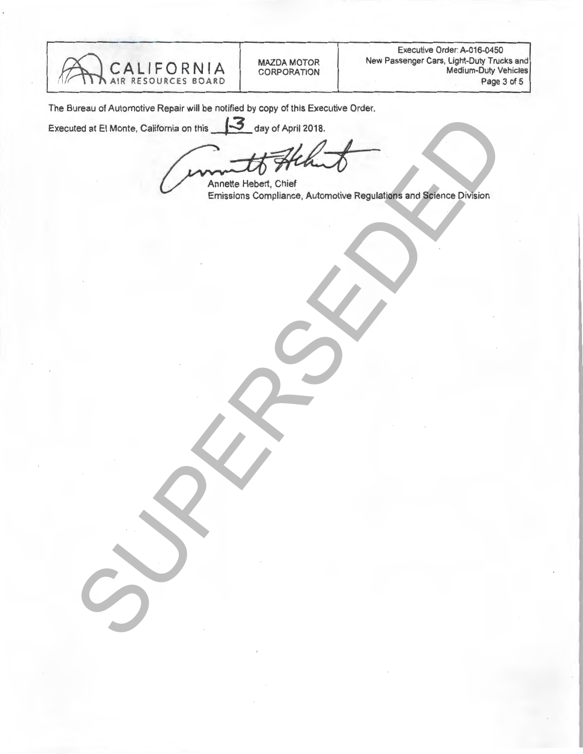

The Bureau of Automotive Repair will be notified by copy of this Executive Order.

Executed at El Monte, California on this 3 day of April 2018.

INCREDIT RESERVED ON THIS 199 of April 2018.<br>
Emission Completion, Automotive Regulation and Spinols Division

Annette Hebert, Chief Emissions Compliance, Automotive Regulations and Science Division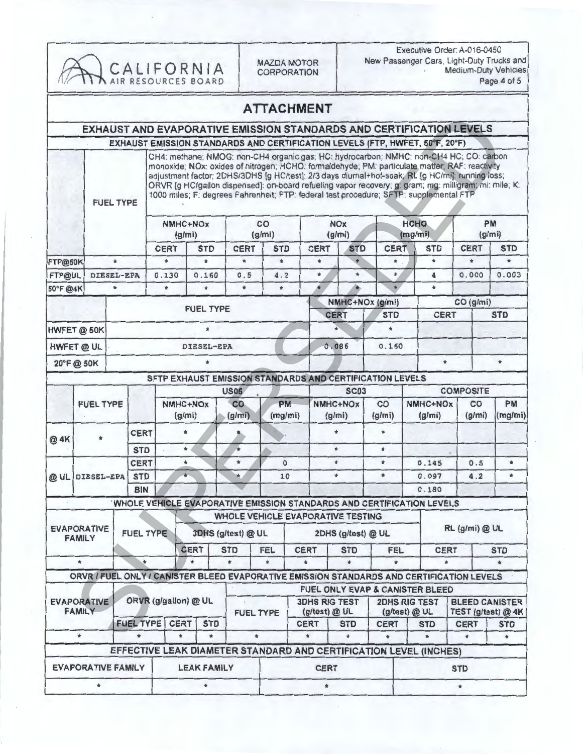| CALIFORNIA <sup>.</sup><br>AIR RESOURCES BOARD |         |                                  |                           |                                                                                                                                                                                                                                                                                                                                                                                                                                                                                                 |                      |               | <b>MAZDA MOTOR</b><br><b>CORPORATION</b> |                   |                              | Executive Order: A-016-0450<br>New Passenger Cars, Light-Duty Trucks and<br><b>Medium-Duty Vehicles</b><br>Page 4 of 5 |                                   |                        |                             |                    |                  |                                             |  |
|------------------------------------------------|---------|----------------------------------|---------------------------|-------------------------------------------------------------------------------------------------------------------------------------------------------------------------------------------------------------------------------------------------------------------------------------------------------------------------------------------------------------------------------------------------------------------------------------------------------------------------------------------------|----------------------|---------------|------------------------------------------|-------------------|------------------------------|------------------------------------------------------------------------------------------------------------------------|-----------------------------------|------------------------|-----------------------------|--------------------|------------------|---------------------------------------------|--|
|                                                |         |                                  |                           |                                                                                                                                                                                                                                                                                                                                                                                                                                                                                                 |                      |               |                                          | <b>ATTACHMENT</b> |                              |                                                                                                                        |                                   |                        |                             |                    |                  |                                             |  |
|                                                |         |                                  |                           | EXHAUST AND EVAPORATIVE EMISSION STANDARDS AND CERTIFICATION LEVELS                                                                                                                                                                                                                                                                                                                                                                                                                             |                      |               |                                          |                   |                              |                                                                                                                        |                                   |                        |                             |                    |                  |                                             |  |
|                                                |         |                                  |                           | EXHAUST EMISSION STANDARDS AND CERTIFICATION LEVELS (FTP, HWFET, 50°F, 20°F)                                                                                                                                                                                                                                                                                                                                                                                                                    |                      |               |                                          |                   |                              |                                                                                                                        |                                   |                        |                             |                    |                  |                                             |  |
|                                                |         | <b>FUEL TYPE</b>                 |                           | CH4: methane; NMOG: non-CH4 organic gas; HC: hydrocarbon; NMHC: non-CH4 HC; CO: carbon<br>monoxide; NOx: oxides of nitrogen; HCHO: formaldehyde; PM: particulate matter; RAF: reactivity<br>adjustment factor; 2DHS/3DHS [g HC/test]: 2/3 days diurnal+hot-soak; RL [g HC/mi]: running loss;<br>ORVR [g HC/gallon dispensed]: on-board refueling vapor recovery; g: gram; mg: milligram; mi: mile; K:<br>1000 miles; F: degrees Fahrenheit; FTP: federal test procedure; SFTP: supplemental FTP |                      |               |                                          |                   |                              |                                                                                                                        |                                   |                        |                             |                    |                  |                                             |  |
|                                                |         |                                  |                           | NMHC+NOx<br>(g/mi)                                                                                                                                                                                                                                                                                                                                                                                                                                                                              |                      |               | CO<br>(g/mi)                             |                   |                              | <b>NOx</b><br>(g/mi)                                                                                                   |                                   | <b>HCHO</b><br>(mg/mi) |                             |                    |                  | <b>PM</b><br>(g/m)                          |  |
|                                                |         |                                  |                           | <b>CERT</b>                                                                                                                                                                                                                                                                                                                                                                                                                                                                                     | <b>STD</b>           |               | <b>CERT</b>                              | <b>STD</b>        |                              | <b>CERT</b>                                                                                                            | <b>STD</b>                        | <b>CERT</b>            |                             | <b>STD</b>         | <b>CERT</b>      | <b>STD</b>                                  |  |
| FTP@50K                                        |         | $\star$                          |                           | ٠                                                                                                                                                                                                                                                                                                                                                                                                                                                                                               | $\star$              |               | $\star$                                  | $\bullet$         |                              | $\star$                                                                                                                | $\bullet$                         | $\ast$                 |                             | $\star$            | $\bullet$        | ٠                                           |  |
| FTP@UL                                         |         | DIESEL-EPA                       |                           | 0.130                                                                                                                                                                                                                                                                                                                                                                                                                                                                                           | 0.160                |               | 0.5                                      | 4.2               |                              | $\frac{1}{N}$                                                                                                          | $\star$                           | $\ast$                 |                             | 4                  | 0.000            | 0.003                                       |  |
| 50°F @4K                                       |         | $\star$                          |                           | $\star$                                                                                                                                                                                                                                                                                                                                                                                                                                                                                         | $\ddot{\phantom{1}}$ |               | $\frac{1}{M}$                            | $\pm$             |                              | ¥                                                                                                                      |                                   | $\bullet$              |                             | $\frac{1}{2}$      |                  |                                             |  |
|                                                |         |                                  |                           | <b>FUEL TYPE</b>                                                                                                                                                                                                                                                                                                                                                                                                                                                                                |                      |               |                                          |                   |                              | NMHC+NOx (g/mi)                                                                                                        |                                   |                        |                             |                    |                  | CO (g/mi)                                   |  |
|                                                |         |                                  |                           |                                                                                                                                                                                                                                                                                                                                                                                                                                                                                                 |                      |               |                                          |                   | <b>CERT</b>                  |                                                                                                                        | <b>STD</b>                        | <b>CERT</b>            |                             |                    | <b>STD</b>       |                                             |  |
| HWFET @ 50K                                    |         |                                  |                           |                                                                                                                                                                                                                                                                                                                                                                                                                                                                                                 |                      | $\frac{1}{N}$ |                                          |                   |                              |                                                                                                                        |                                   | ٠                      |                             |                    |                  |                                             |  |
| HWFET @ UL                                     |         |                                  |                           | DIESEL-EPA                                                                                                                                                                                                                                                                                                                                                                                                                                                                                      |                      |               |                                          |                   |                              | 0.086<br>0.160                                                                                                         |                                   |                        |                             |                    |                  |                                             |  |
| 20°F@50K                                       |         |                                  |                           |                                                                                                                                                                                                                                                                                                                                                                                                                                                                                                 |                      |               |                                          |                   |                              |                                                                                                                        |                                   |                        |                             | $\bullet$          |                  | $\pm$                                       |  |
|                                                |         |                                  |                           | SFTP EXHAUST EMISSION STANDARDS AND CERTIFICATION LEVELS                                                                                                                                                                                                                                                                                                                                                                                                                                        |                      |               |                                          |                   |                              |                                                                                                                        |                                   |                        |                             |                    |                  |                                             |  |
|                                                |         |                                  |                           | <b>US06</b>                                                                                                                                                                                                                                                                                                                                                                                                                                                                                     |                      |               |                                          |                   |                              |                                                                                                                        | <b>SC03</b>                       |                        |                             |                    | <b>COMPOSITE</b> |                                             |  |
|                                                |         | <b>FUEL TYPE</b>                 |                           |                                                                                                                                                                                                                                                                                                                                                                                                                                                                                                 | NMHC+NOx<br>(g/mi)   |               | <b>PM</b><br>co<br>(mg/mi)<br>(g/mi)     |                   |                              | NMHC+NOx<br>(g/mi)                                                                                                     |                                   | co<br>(g/mi)           |                             | NMHC+NOx<br>(g/mi) | CO<br>(g/mi)     | PM<br>(mg/mi)                               |  |
| @ 4K                                           |         | <b>CERT</b>                      |                           |                                                                                                                                                                                                                                                                                                                                                                                                                                                                                                 | $\star$              |               |                                          |                   |                              | $\star$                                                                                                                |                                   | $\bullet$              |                             |                    |                  |                                             |  |
|                                                |         |                                  | <b>STD</b>                |                                                                                                                                                                                                                                                                                                                                                                                                                                                                                                 | $\star$              |               | ŵ                                        |                   |                              |                                                                                                                        | $\star$                           | $\star$                |                             |                    |                  |                                             |  |
|                                                |         | CERT<br><b>STD</b><br>DIESEL-EPA |                           |                                                                                                                                                                                                                                                                                                                                                                                                                                                                                                 | $\star$              |               | $\star$                                  | $\Omega$          |                              |                                                                                                                        | $\pm$                             | $\pmb{\ast}$           |                             | 0.145              | 0.5              | $\pm$                                       |  |
| $@$ UL                                         |         |                                  |                           |                                                                                                                                                                                                                                                                                                                                                                                                                                                                                                 |                      |               |                                          | 10                |                              |                                                                                                                        | $\star$                           | $\star$                |                             | 0.097              | 4.2              | $\ast$                                      |  |
|                                                |         |                                  | <b>BIN</b>                | WHOLE VEHICLE EVAPORATIVE EMISSION STANDARDS AND CERTIFICATION LEVELS                                                                                                                                                                                                                                                                                                                                                                                                                           |                      |               |                                          |                   |                              |                                                                                                                        |                                   |                        |                             | 0.180              |                  |                                             |  |
|                                                |         |                                  |                           |                                                                                                                                                                                                                                                                                                                                                                                                                                                                                                 |                      |               |                                          |                   |                              |                                                                                                                        | WHOLE VEHICLE EVAPORATIVE TESTING |                        |                             |                    |                  |                                             |  |
| <b>EVAPORATIVE</b><br><b>FAMILY</b>            |         | <b>FUEL TYPE</b>                 |                           |                                                                                                                                                                                                                                                                                                                                                                                                                                                                                                 | 3DHS (g/test) @ UL   |               |                                          |                   | 2DHS (g/test) @ UL           |                                                                                                                        |                                   | RL (g/mi) @ UL         |                             |                    |                  |                                             |  |
|                                                |         |                                  |                           | <b>CERT</b>                                                                                                                                                                                                                                                                                                                                                                                                                                                                                     |                      |               | <b>STD</b><br><b>FEL</b>                 |                   |                              | <b>CERT</b>                                                                                                            |                                   | <b>FEL</b>             |                             | <b>CERT</b>        |                  | <b>STD</b>                                  |  |
| $\frac{1}{N}$                                  |         | ٠                                |                           |                                                                                                                                                                                                                                                                                                                                                                                                                                                                                                 |                      | $\bullet$     |                                          |                   |                              |                                                                                                                        |                                   |                        | $\triangleq$                |                    |                  |                                             |  |
|                                                |         |                                  |                           | ORVR1FUEL ONLY / CANISTER BLEED EVAPORATIVE EMISSION STANDARDS AND CERTIFICATION LEVELS                                                                                                                                                                                                                                                                                                                                                                                                         |                      |               |                                          |                   |                              |                                                                                                                        |                                   |                        |                             |                    |                  |                                             |  |
| <b>EVAPORATIVE</b>                             |         |                                  |                           |                                                                                                                                                                                                                                                                                                                                                                                                                                                                                                 | ORVR (g/gallon) @ UL |               |                                          |                   |                              | <b>FUEL ONLY EVAP &amp; CANISTER BLEED</b><br><b>3DHS RIG TEST</b>                                                     |                                   | <b>2DHS RIG TEST</b>   |                             |                    |                  | <b>BLEED CANISTER</b><br>TEST (g/test) @ 4K |  |
| <b>FAMILY</b>                                  |         |                                  | <b>FUEL TYPE</b>          | <b>CERT</b><br><b>STD</b>                                                                                                                                                                                                                                                                                                                                                                                                                                                                       |                      |               | <b>FUEL TYPE</b>                         |                   | (g/test) @ UL<br><b>CERT</b> |                                                                                                                        | <b>STD</b>                        | <b>CERT</b>            | (g/test) @ UL<br><b>STD</b> |                    | <b>CERT</b>      | <b>STD</b>                                  |  |
|                                                | $\star$ |                                  | $\star$                   | $\star$                                                                                                                                                                                                                                                                                                                                                                                                                                                                                         |                      | $\ast$        | $\blacksquare$                           |                   | $\star$                      |                                                                                                                        |                                   | $\ddot{\phantom{1}}$   |                             | $\star$<br>$\star$ |                  | $\pm$                                       |  |
|                                                |         |                                  |                           | EFFECTIVE LEAK DIAMETER STANDARD AND CERTIFICATION LEVEL (INCHES)                                                                                                                                                                                                                                                                                                                                                                                                                               |                      |               |                                          |                   |                              |                                                                                                                        |                                   |                        |                             |                    |                  |                                             |  |
|                                                |         |                                  |                           |                                                                                                                                                                                                                                                                                                                                                                                                                                                                                                 |                      |               |                                          |                   |                              |                                                                                                                        |                                   |                        |                             |                    |                  |                                             |  |
|                                                |         |                                  | <b>EVAPORATIVE FAMILY</b> |                                                                                                                                                                                                                                                                                                                                                                                                                                                                                                 | <b>LEAK FAMILY</b>   |               |                                          |                   |                              | <b>CERT</b>                                                                                                            |                                   |                        |                             |                    | <b>STD</b>       |                                             |  |